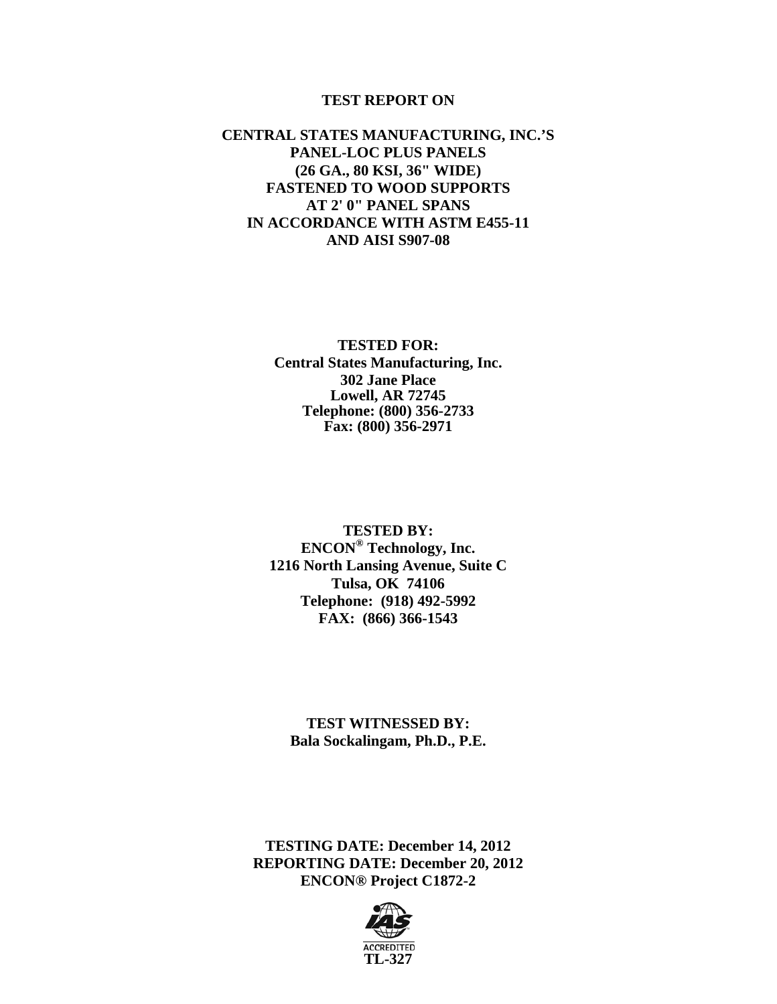#### **TEST REPORT ON**

#### **CENTRAL STATES MANUFACTURING, INC.'S PANEL-LOC PLUS PANELS (26 GA., 80 KSI, 36" WIDE) FASTENED TO WOOD SUPPORTS AT 2' 0" PANEL SPANS IN ACCORDANCE WITH ASTM E455-11 AND AISI S907-08**

#### **TESTED FOR: Central States Manufacturing, Inc. 302 Jane Place Lowell, AR 72745 Telephone: (800) 356-2733 Fax: (800) 356-2971**

**TESTED BY: ENCON® Technology, Inc. 1216 North Lansing Avenue, Suite C Tulsa, OK 74106 Telephone: (918) 492-5992 FAX: (866) 366-1543** 

**TEST WITNESSED BY: Bala Sockalingam, Ph.D., P.E.** 

**TESTING DATE: December 14, 2012 REPORTING DATE: December 20, 2012 ENCON® Project C1872-2** 

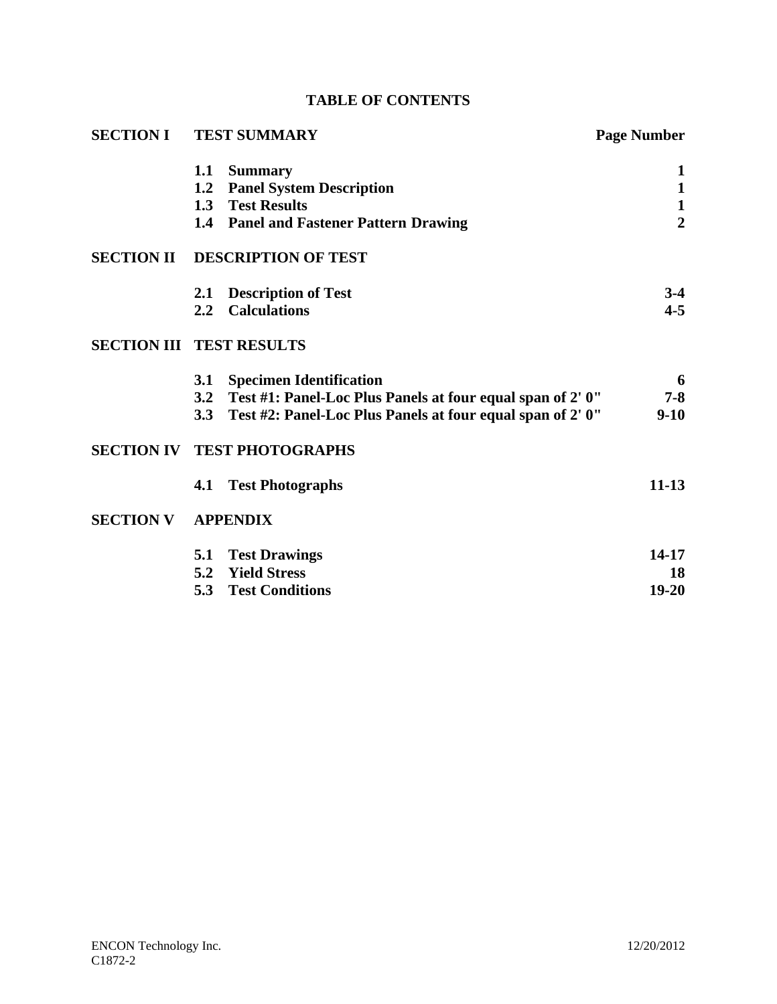|  | <b>TABLE OF CONTENTS</b> |
|--|--------------------------|
|--|--------------------------|

| <b>SECTION I</b>                |            | <b>TEST SUMMARY</b>                                            | <b>Page Number</b> |
|---------------------------------|------------|----------------------------------------------------------------|--------------------|
|                                 | 1.1        | <b>Summary</b>                                                 | 1                  |
|                                 | 1.2        | <b>Panel System Description</b>                                | $\mathbf{1}$       |
|                                 |            | 1.3 Test Results                                               | $\mathbf{1}$       |
|                                 |            | 1.4 Panel and Fastener Pattern Drawing                         | $\overline{2}$     |
| <b>SECTION II</b>               |            | <b>DESCRIPTION OF TEST</b>                                     |                    |
|                                 | 2.1        | <b>Description of Test</b>                                     | $3-4$              |
|                                 | $2.2\,$    | <b>Calculations</b>                                            | $4 - 5$            |
| <b>SECTION III TEST RESULTS</b> |            |                                                                |                    |
|                                 | <b>3.1</b> | <b>Specimen Identification</b>                                 | 6                  |
|                                 |            | 3.2 Test #1: Panel-Loc Plus Panels at four equal span of 2' 0" | $7 - 8$            |
|                                 | 3.3        | Test #2: Panel-Loc Plus Panels at four equal span of 2' 0"     | $9-10$             |
|                                 |            | <b>SECTION IV TEST PHOTOGRAPHS</b>                             |                    |
|                                 | 4.1        | <b>Test Photographs</b>                                        | $11 - 13$          |
| <b>SECTION V</b>                |            | <b>APPENDIX</b>                                                |                    |
|                                 | 5.1        | <b>Test Drawings</b>                                           | $14-17$            |
|                                 | 5.2        | <b>Yield Stress</b>                                            | 18                 |
|                                 | 5.3        | <b>Test Conditions</b>                                         | $19 - 20$          |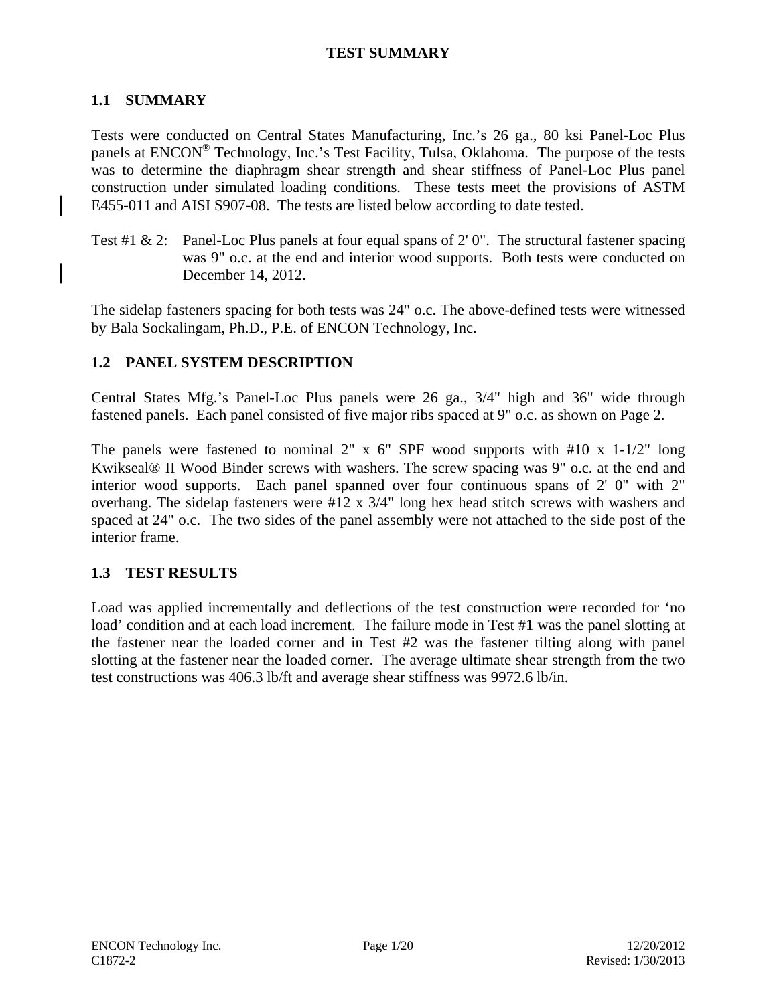## **TEST SUMMARY**

### **1.1 SUMMARY**

Tests were conducted on Central States Manufacturing, Inc.'s 26 ga., 80 ksi Panel-Loc Plus panels at ENCON® Technology, Inc.'s Test Facility, Tulsa, Oklahoma. The purpose of the tests was to determine the diaphragm shear strength and shear stiffness of Panel-Loc Plus panel construction under simulated loading conditions. These tests meet the provisions of ASTM E455-011 and AISI S907-08. The tests are listed below according to date tested.

Test #1  $\&$  2: Panel-Loc Plus panels at four equal spans of 2'0". The structural fastener spacing was 9" o.c. at the end and interior wood supports. Both tests were conducted on December 14, 2012.

The sidelap fasteners spacing for both tests was 24" o.c. The above-defined tests were witnessed by Bala Sockalingam, Ph.D., P.E. of ENCON Technology, Inc.

### **1.2 PANEL SYSTEM DESCRIPTION**

Central States Mfg.'s Panel-Loc Plus panels were 26 ga., 3/4" high and 36" wide through fastened panels. Each panel consisted of five major ribs spaced at 9" o.c. as shown on Page 2.

The panels were fastened to nominal 2" x  $6$ " SPF wood supports with  $#10$  x  $1-1/2$ " long Kwikseal® II Wood Binder screws with washers. The screw spacing was 9" o.c. at the end and interior wood supports. Each panel spanned over four continuous spans of 2' 0" with 2" overhang. The sidelap fasteners were #12 x 3/4" long hex head stitch screws with washers and spaced at 24" o.c. The two sides of the panel assembly were not attached to the side post of the interior frame.

### **1.3 TEST RESULTS**

Load was applied incrementally and deflections of the test construction were recorded for 'no load' condition and at each load increment. The failure mode in Test #1 was the panel slotting at the fastener near the loaded corner and in Test #2 was the fastener tilting along with panel slotting at the fastener near the loaded corner. The average ultimate shear strength from the two test constructions was 406.3 lb/ft and average shear stiffness was 9972.6 lb/in.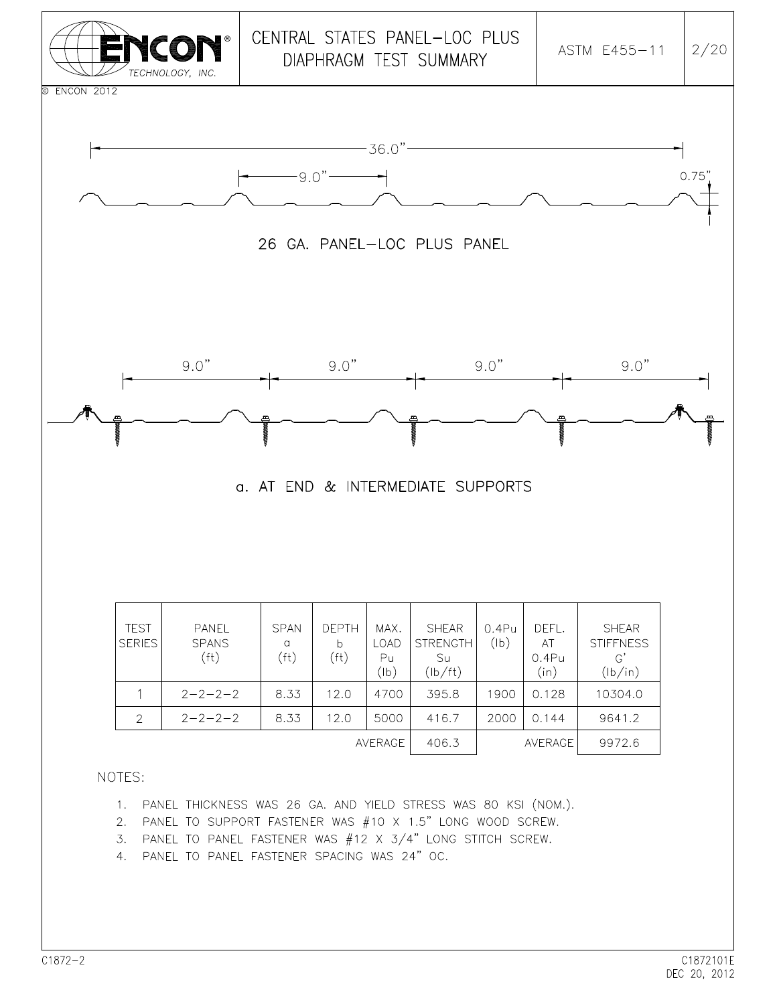

4. PANEL TO PANEL FASTENER SPACING WAS 24" OC.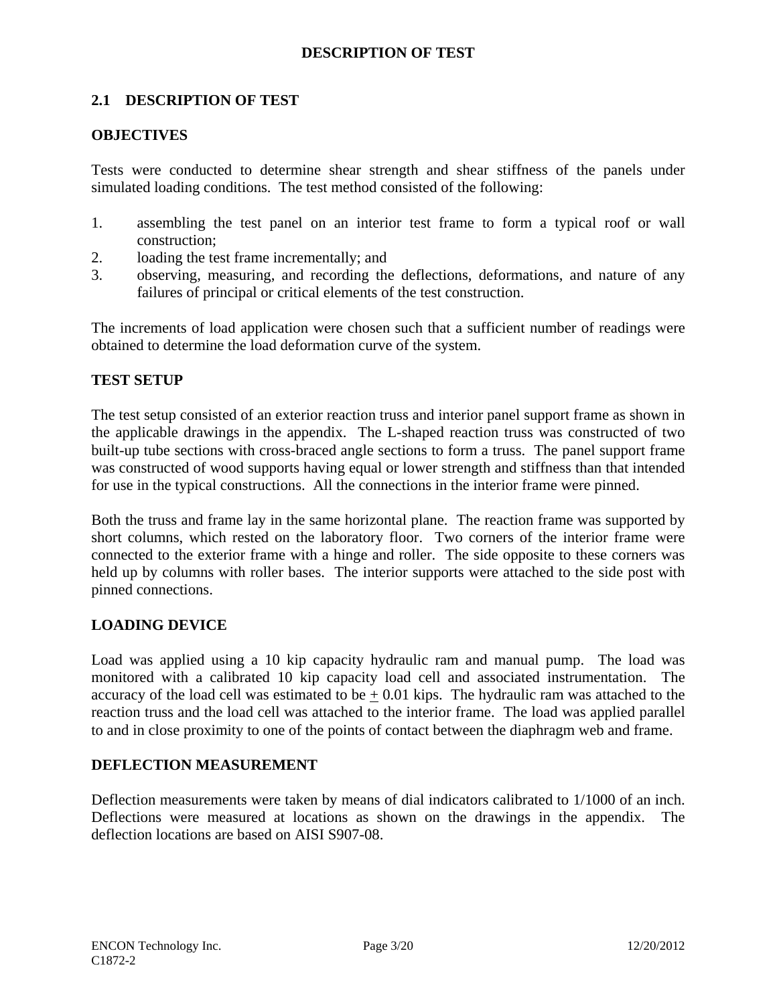### **DESCRIPTION OF TEST**

### **2.1 DESCRIPTION OF TEST**

#### **OBJECTIVES**

Tests were conducted to determine shear strength and shear stiffness of the panels under simulated loading conditions. The test method consisted of the following:

- 1. assembling the test panel on an interior test frame to form a typical roof or wall construction;
- 2. loading the test frame incrementally; and
- 3. observing, measuring, and recording the deflections, deformations, and nature of any failures of principal or critical elements of the test construction.

The increments of load application were chosen such that a sufficient number of readings were obtained to determine the load deformation curve of the system.

#### **TEST SETUP**

The test setup consisted of an exterior reaction truss and interior panel support frame as shown in the applicable drawings in the appendix. The L-shaped reaction truss was constructed of two built-up tube sections with cross-braced angle sections to form a truss. The panel support frame was constructed of wood supports having equal or lower strength and stiffness than that intended for use in the typical constructions. All the connections in the interior frame were pinned.

Both the truss and frame lay in the same horizontal plane. The reaction frame was supported by short columns, which rested on the laboratory floor. Two corners of the interior frame were connected to the exterior frame with a hinge and roller. The side opposite to these corners was held up by columns with roller bases. The interior supports were attached to the side post with pinned connections.

#### **LOADING DEVICE**

Load was applied using a 10 kip capacity hydraulic ram and manual pump. The load was monitored with a calibrated 10 kip capacity load cell and associated instrumentation. The accuracy of the load cell was estimated to be  $+ 0.01$  kips. The hydraulic ram was attached to the reaction truss and the load cell was attached to the interior frame. The load was applied parallel to and in close proximity to one of the points of contact between the diaphragm web and frame.

#### **DEFLECTION MEASUREMENT**

Deflection measurements were taken by means of dial indicators calibrated to 1/1000 of an inch. Deflections were measured at locations as shown on the drawings in the appendix. The deflection locations are based on AISI S907-08.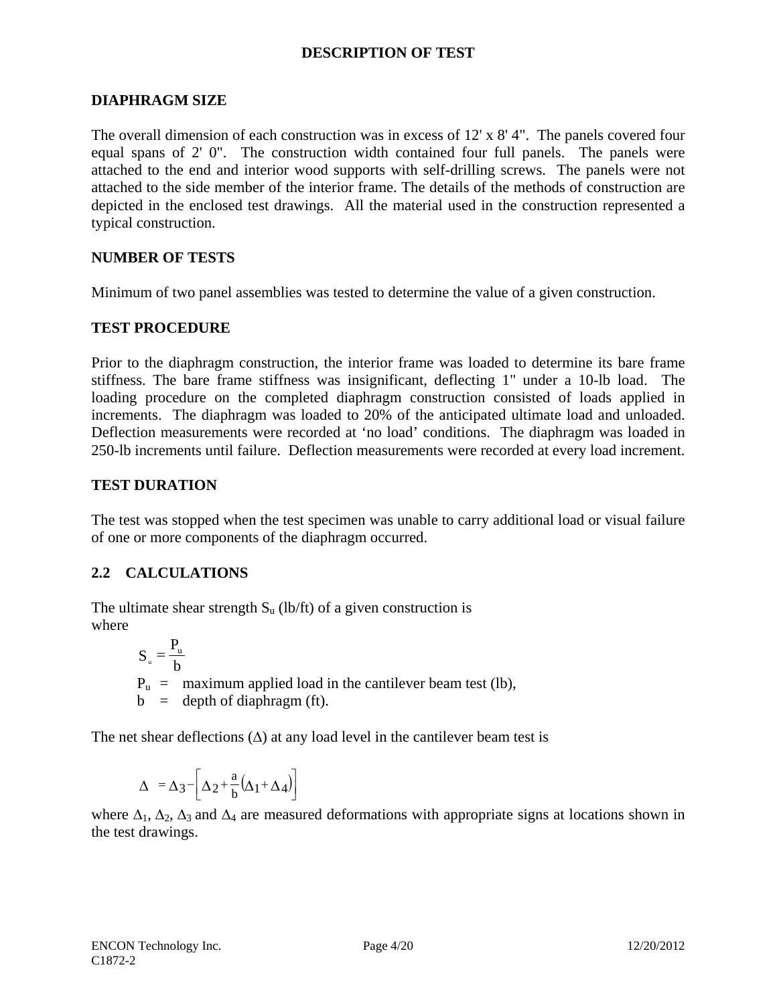### **DESCRIPTION OF TEST**

#### **DIAPHRAGM SIZE**

The overall dimension of each construction was in excess of  $12' \times 8' 4''$ . The panels covered four equal spans of 2' 0". The construction width contained four full panels. The panels were attached to the end and interior wood supports with self-drilling screws. The panels were not attached to the side member of the interior frame. The details of the methods of construction are depicted in the enclosed test drawings. All the material used in the construction represented a typical construction.

#### **NUMBER OF TESTS**

Minimum of two panel assemblies was tested to determine the value of a given construction.

### **TEST PROCEDURE**

Prior to the diaphragm construction, the interior frame was loaded to determine its bare frame stiffness. The bare frame stiffness was insignificant, deflecting 1" under a 10-lb load. The loading procedure on the completed diaphragm construction consisted of loads applied in increments. The diaphragm was loaded to 20% of the anticipated ultimate load and unloaded. Deflection measurements were recorded at 'no load' conditions. The diaphragm was loaded in 250-lb increments until failure. Deflection measurements were recorded at every load increment.

### **TEST DURATION**

The test was stopped when the test specimen was unable to carry additional load or visual failure of one or more components of the diaphragm occurred.

### **2.2 CALCULATIONS**

The ultimate shear strength  $S_u$  (lb/ft) of a given construction is where

> $P_u$  = maximum applied load in the cantilever beam test (lb),  $b =$  depth of diaphragm (ft). b  $S_u = \frac{P_u}{h}$

The net shear deflections  $(\Delta)$  at any load level in the cantilever beam test is

$$
\Delta = \Delta_3 - \left[ \Delta_2 + \frac{a}{b} (\Delta_1 + \Delta_4) \right]
$$

where  $\Delta_1$ ,  $\Delta_2$ ,  $\Delta_3$  and  $\Delta_4$  are measured deformations with appropriate signs at locations shown in the test drawings.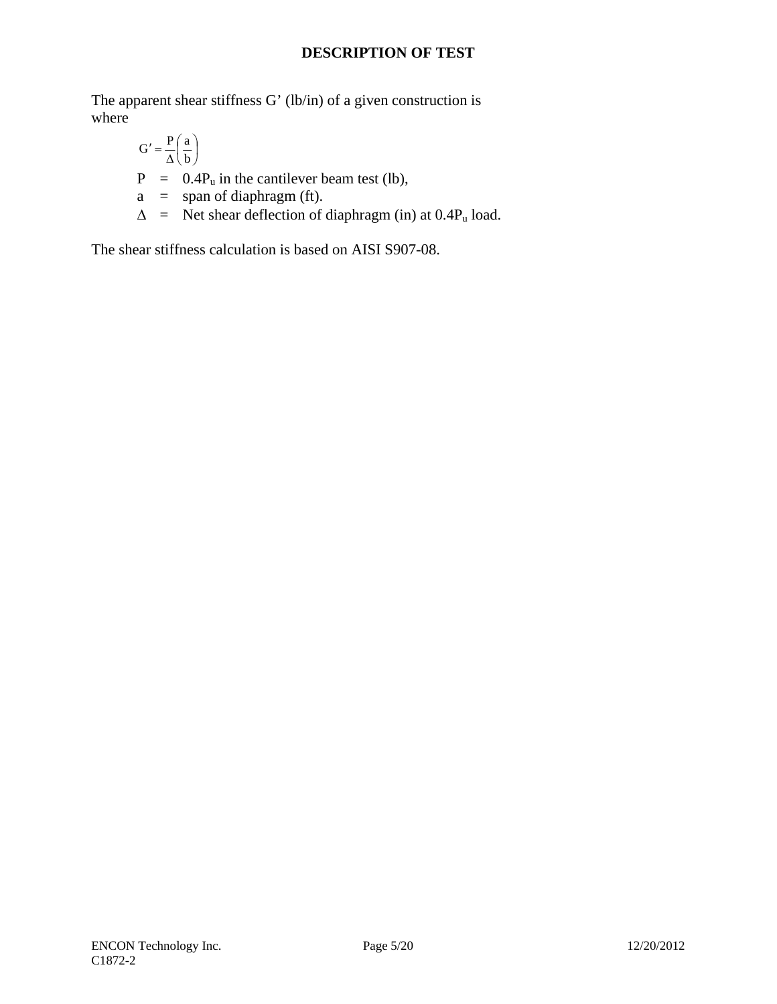# **DESCRIPTION OF TEST**

The apparent shear stiffness G' (lb/in) of a given construction is where

$$
G' = \frac{P}{\Delta} \left( \frac{a}{b} \right)
$$
  
P = 0.4P<sub>u</sub> in the cantilever beam test (lb),  
a = span of diaphragm (ft).  

$$
\Delta =
$$
 Net shear deflection of diaphragm (in) at 0.4P<sub>u</sub> load.

The shear stiffness calculation is based on AISI S907-08.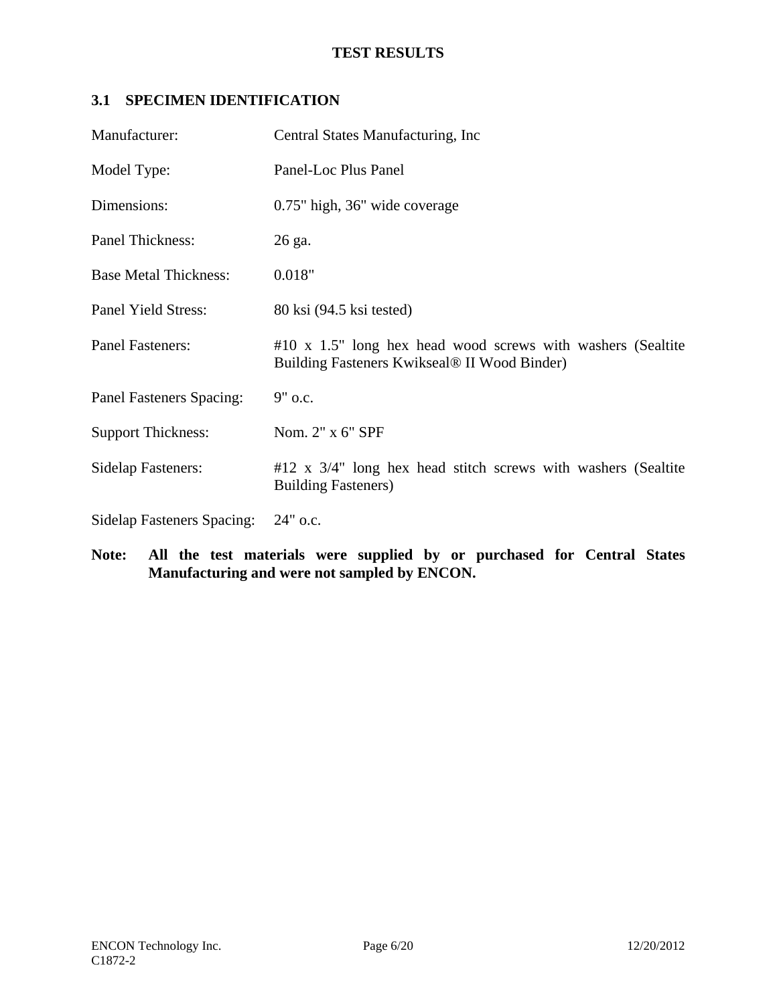# **3.1 SPECIMEN IDENTIFICATION**

| Manufacturer:                     | Central States Manufacturing, Inc.                                                                                 |
|-----------------------------------|--------------------------------------------------------------------------------------------------------------------|
| Model Type:                       | Panel-Loc Plus Panel                                                                                               |
| Dimensions:                       | 0.75" high, 36" wide coverage                                                                                      |
| Panel Thickness:                  | 26 ga.                                                                                                             |
| <b>Base Metal Thickness:</b>      | 0.018"                                                                                                             |
| Panel Yield Stress:               | 80 ksi (94.5 ksi tested)                                                                                           |
| <b>Panel Fasteners:</b>           | $#10 \times 1.5"$ long hex head wood screws with washers (Sealtite<br>Building Fasteners Kwikseal® II Wood Binder) |
| <b>Panel Fasteners Spacing:</b>   | 9" o.c.                                                                                                            |
| <b>Support Thickness:</b>         | Nom. 2" x 6" SPF                                                                                                   |
| <b>Sidelap Fasteners:</b>         | $#12$ x $3/4$ " long hex head stitch screws with washers (Sealtite<br><b>Building Fasteners</b> )                  |
| <b>Sidelap Fasteners Spacing:</b> | $24"$ o.c.                                                                                                         |

**Note: All the test materials were supplied by or purchased for Central States Manufacturing and were not sampled by ENCON.**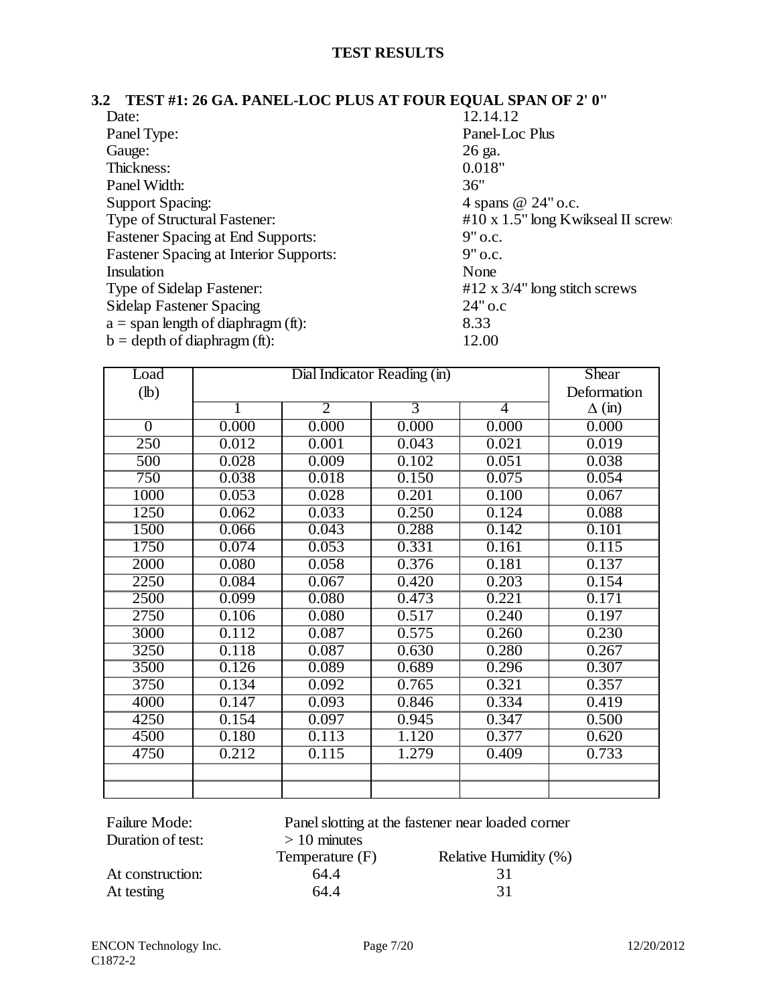#### **3.2 TEST #1: 26 GA. PANEL-LOC PLUS AT FOUR EQUAL SPAN OF 2' 0"**

| Date:                                         | 12.14.12                          |
|-----------------------------------------------|-----------------------------------|
| Panel Type:                                   | Panel-Loc Plus                    |
| Gauge:                                        | 26 ga.                            |
| Thickness:                                    | 0.018"                            |
| Panel Width:                                  | 36"                               |
| <b>Support Spacing:</b>                       | 4 spans @ 24" o.c.                |
| Type of Structural Fastener:                  | #10 x 1.5" long Kwikseal II screw |
| <b>Fastener Spacing at End Supports:</b>      | $9"$ o.c.                         |
| <b>Fastener Spacing at Interior Supports:</b> | $9"$ o.c.                         |
| Insulation                                    | None                              |
| Type of Sidelap Fastener:                     | #12 x $3/4$ " long stitch screws  |
| <b>Sidelap Fastener Spacing</b>               | $24"$ o.c                         |
| $a =$ span length of diaphragm (ft):          | 8.33                              |
| $b = depth of diaphragm (ft):$                | 12.00                             |

| Load             |       | Shear          |       |       |               |
|------------------|-------|----------------|-------|-------|---------------|
| $(lb)$           |       | Deformation    |       |       |               |
|                  |       | $\overline{2}$ | 3     | 4     | $\Delta$ (in) |
| $\overline{0}$   | 0.000 | 0.000          | 0.000 | 0.000 | 0.000         |
| $\overline{250}$ | 0.012 | 0.001          | 0.043 | 0.021 | 0.019         |
| 500              | 0.028 | 0.009          | 0.102 | 0.051 | 0.038         |
| 750              | 0.038 | 0.018          | 0.150 | 0.075 | 0.054         |
| 1000             | 0.053 | 0.028          | 0.201 | 0.100 | 0.067         |
| 1250             | 0.062 | 0.033          | 0.250 | 0.124 | 0.088         |
| 1500             | 0.066 | 0.043          | 0.288 | 0.142 | 0.101         |
| 1750             | 0.074 | 0.053          | 0.331 | 0.161 | 0.115         |
| 2000             | 0.080 | 0.058          | 0.376 | 0.181 | 0.137         |
| 2250             | 0.084 | 0.067          | 0.420 | 0.203 | 0.154         |
| 2500             | 0.099 | 0.080          | 0.473 | 0.221 | 0.171         |
| 2750             | 0.106 | 0.080          | 0.517 | 0.240 | 0.197         |
| 3000             | 0.112 | 0.087          | 0.575 | 0.260 | 0.230         |
| 3250             | 0.118 | 0.087          | 0.630 | 0.280 | 0.267         |
| 3500             | 0.126 | 0.089          | 0.689 | 0.296 | 0.307         |
| 3750             | 0.134 | 0.092          | 0.765 | 0.321 | 0.357         |
| 4000             | 0.147 | 0.093          | 0.846 | 0.334 | 0.419         |
| 4250             | 0.154 | 0.097          | 0.945 | 0.347 | 0.500         |
| 4500             | 0.180 | 0.113          | 1.120 | 0.377 | 0.620         |
| 4750             | 0.212 | 0.115          | 1.279 | 0.409 | 0.733         |
|                  |       |                |       |       |               |
|                  |       |                |       |       |               |

| Failure Mode:     | Panel slotting at the fastener near loaded corner |                       |  |  |  |
|-------------------|---------------------------------------------------|-----------------------|--|--|--|
| Duration of test: | $> 10$ minutes                                    |                       |  |  |  |
|                   | Temperature (F)                                   | Relative Humidity (%) |  |  |  |
| At construction:  | 64.4                                              | 31                    |  |  |  |
| At testing        | 64.4                                              | 31                    |  |  |  |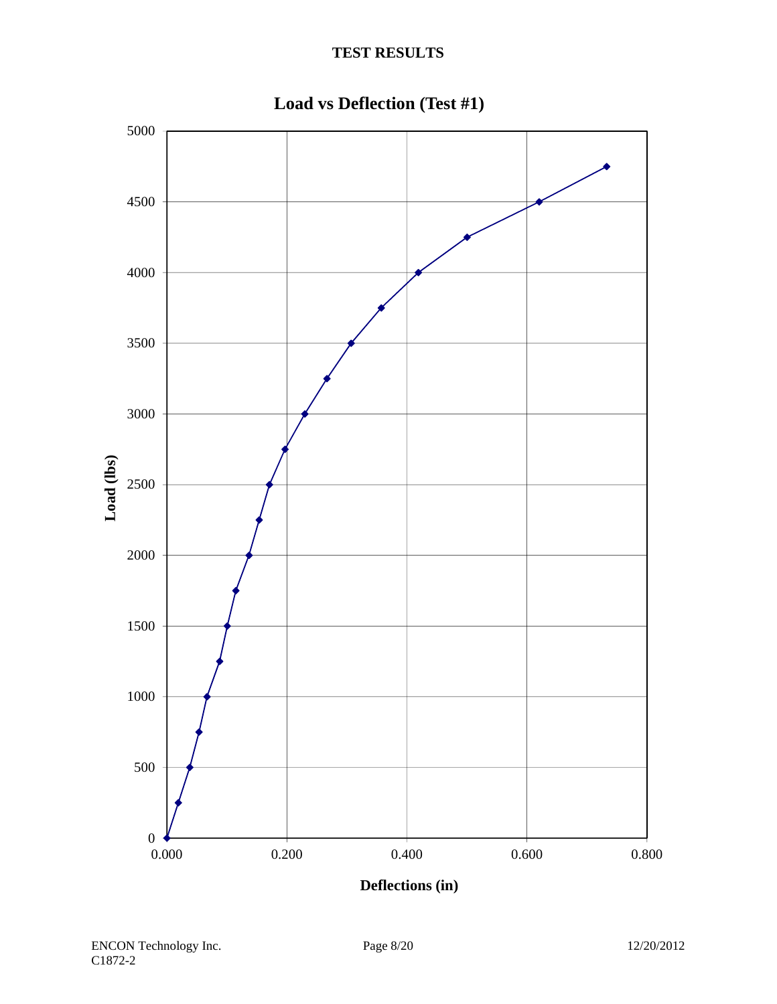

**Load vs Deflection (Test #1)**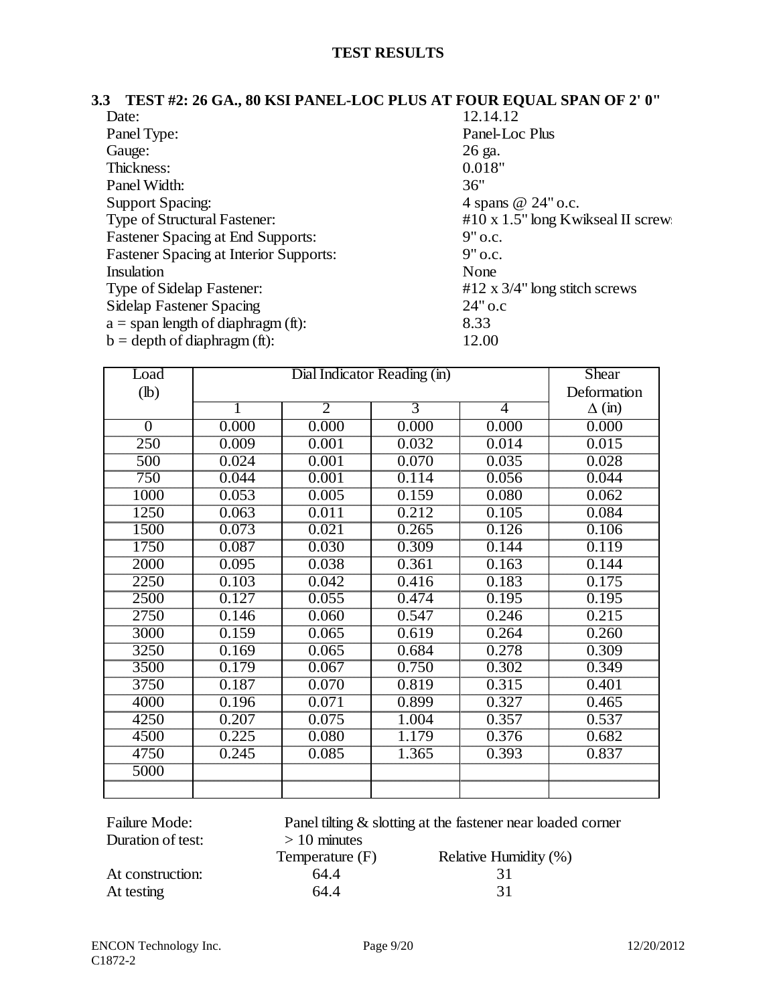#### **3.3 TEST #2: 26 GA., 80 KSI PANEL-LOC PLUS AT FOUR EQUAL SPAN OF 2' 0"**

| Date:                                         | 12.14.12                                 |
|-----------------------------------------------|------------------------------------------|
| Panel Type:                                   | Panel-Loc Plus                           |
| Gauge:                                        | 26 ga.                                   |
| Thickness:                                    | 0.018"                                   |
| Panel Width:                                  | 36"                                      |
| <b>Support Spacing:</b>                       | 4 spans @ 24" o.c.                       |
| Type of Structural Fastener:                  | $#10 \times 1.5"$ long Kwikseal II screw |
| <b>Fastener Spacing at End Supports:</b>      | $9"$ o.c.                                |
| <b>Fastener Spacing at Interior Supports:</b> | $9"$ o.c.                                |
| Insulation                                    | None                                     |
| Type of Sidelap Fastener:                     | #12 x $3/4$ " long stitch screws         |
| <b>Sidelap Fastener Spacing</b>               | $24"$ o.c                                |
| $a =$ span length of diaphragm (ft):          | 8.33                                     |
| $b = depth of diaphragm (ft):$                | 12.00                                    |

| Load             |       | Shear          |       |       |               |
|------------------|-------|----------------|-------|-------|---------------|
| $(lb)$           |       | Deformation    |       |       |               |
|                  |       | $\overline{2}$ | 3     | 4     | $\Delta$ (in) |
| $\overline{0}$   | 0.000 | 0.000          | 0.000 | 0.000 | 0.000         |
| $\overline{250}$ | 0.009 | 0.001          | 0.032 | 0.014 | 0.015         |
| 500              | 0.024 | 0.001          | 0.070 | 0.035 | 0.028         |
| $\overline{750}$ | 0.044 | 0.001          | 0.114 | 0.056 | 0.044         |
| 1000             | 0.053 | 0.005          | 0.159 | 0.080 | 0.062         |
| 1250             | 0.063 | 0.011          | 0.212 | 0.105 | 0.084         |
| 1500             | 0.073 | 0.021          | 0.265 | 0.126 | 0.106         |
| 1750             | 0.087 | 0.030          | 0.309 | 0.144 | 0.119         |
| 2000             | 0.095 | 0.038          | 0.361 | 0.163 | 0.144         |
| 2250             | 0.103 | 0.042          | 0.416 | 0.183 | 0.175         |
| 2500             | 0.127 | 0.055          | 0.474 | 0.195 | 0.195         |
| 2750             | 0.146 | 0.060          | 0.547 | 0.246 | 0.215         |
| 3000             | 0.159 | 0.065          | 0.619 | 0.264 | 0.260         |
| 3250             | 0.169 | 0.065          | 0.684 | 0.278 | 0.309         |
| 3500             | 0.179 | 0.067          | 0.750 | 0.302 | 0.349         |
| 3750             | 0.187 | 0.070          | 0.819 | 0.315 | 0.401         |
| 4000             | 0.196 | 0.071          | 0.899 | 0.327 | 0.465         |
| 4250             | 0.207 | 0.075          | 1.004 | 0.357 | 0.537         |
| 4500             | 0.225 | 0.080          | 1.179 | 0.376 | 0.682         |
| 4750             | 0.245 | 0.085          | 1.365 | 0.393 | 0.837         |
| 5000             |       |                |       |       |               |
|                  |       |                |       |       |               |

| <b>Failure Mode:</b> |                 | Panel tilting & slotting at the fastener near loaded corner |
|----------------------|-----------------|-------------------------------------------------------------|
| Duration of test:    | $> 10$ minutes  |                                                             |
|                      | Temperature (F) | Relative Humidity (%)                                       |
| At construction:     | 64.4            |                                                             |
| At testing           | 64.4            | 31                                                          |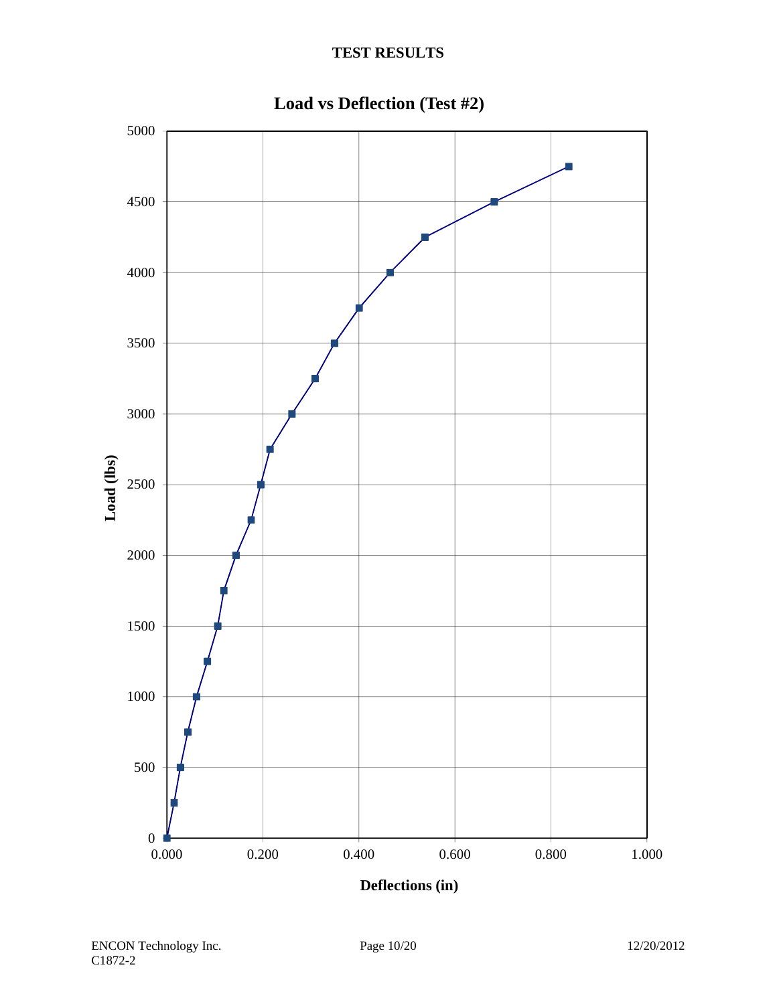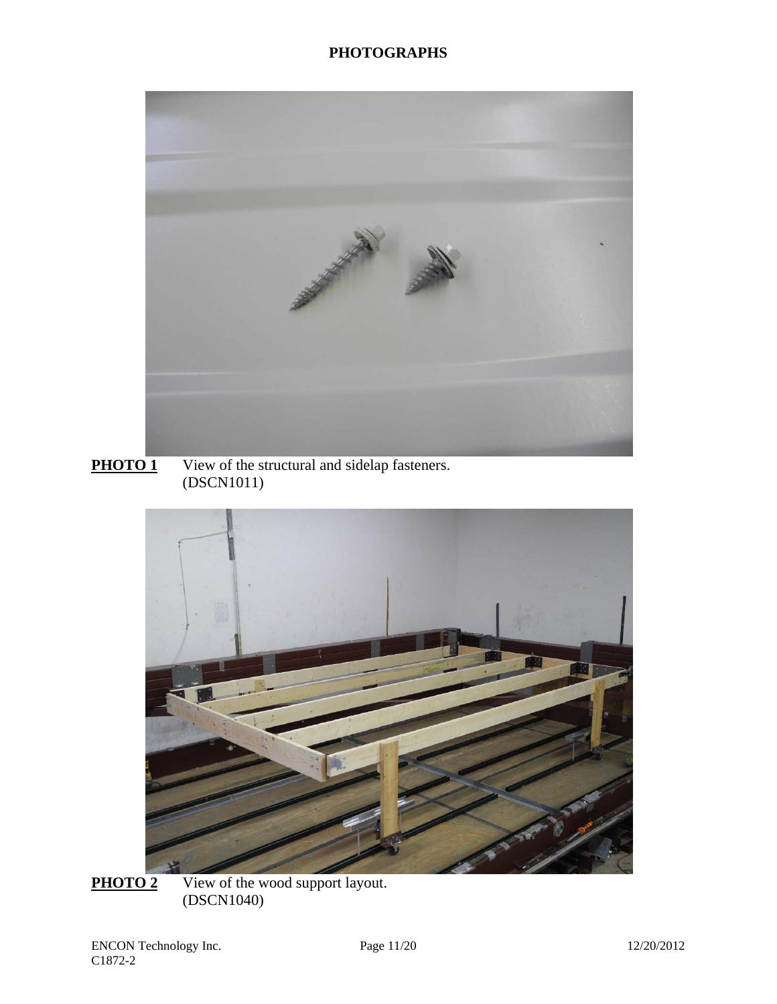

**PHOTO 1** View of the structural and sidelap fasteners. (DSCN1011)



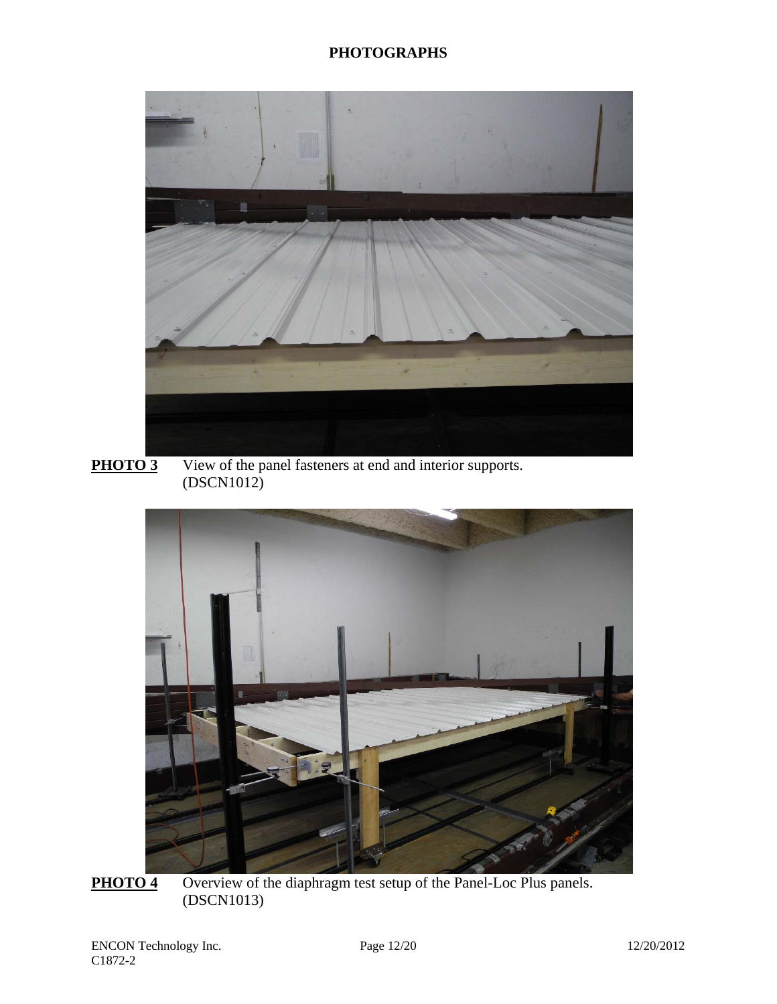

**PHOTO 3** View of the panel fasteners at end and interior supports. (DSCN1012)



**PHOTO 4** Overview of the diaphragm test setup of the Panel-Loc Plus panels. (DSCN1013)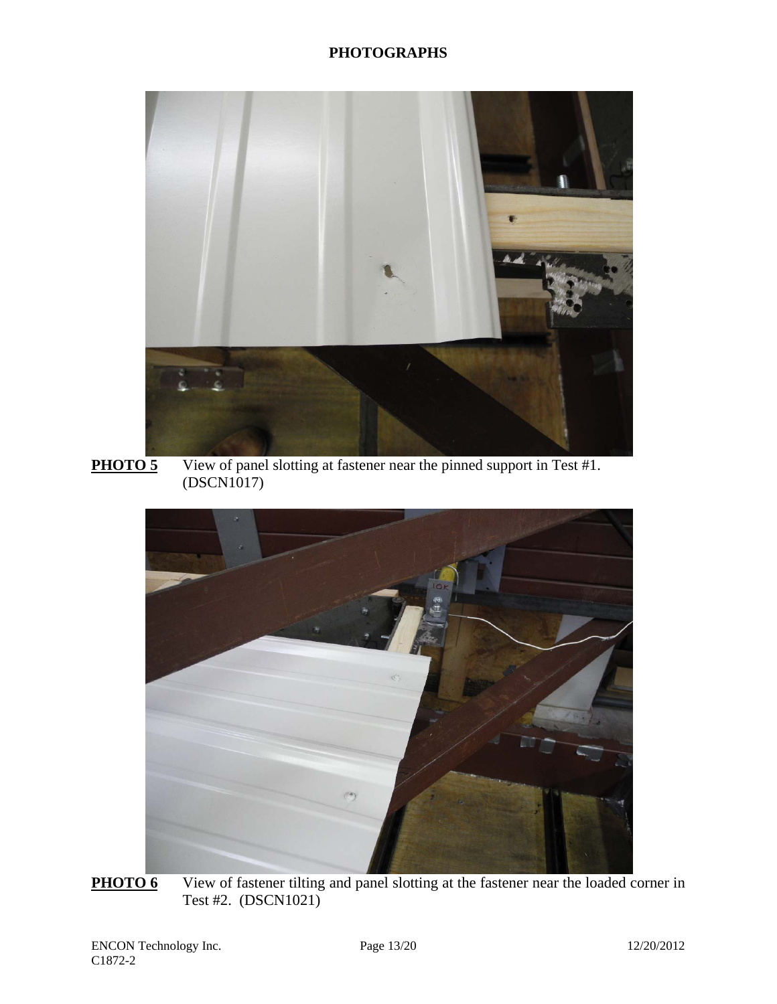

**PHOTO 5** View of panel slotting at fastener near the pinned support in Test #1. (DSCN1017)



**PHOTO 6** View of fastener tilting and panel slotting at the fastener near the loaded corner in Test #2. (DSCN1021)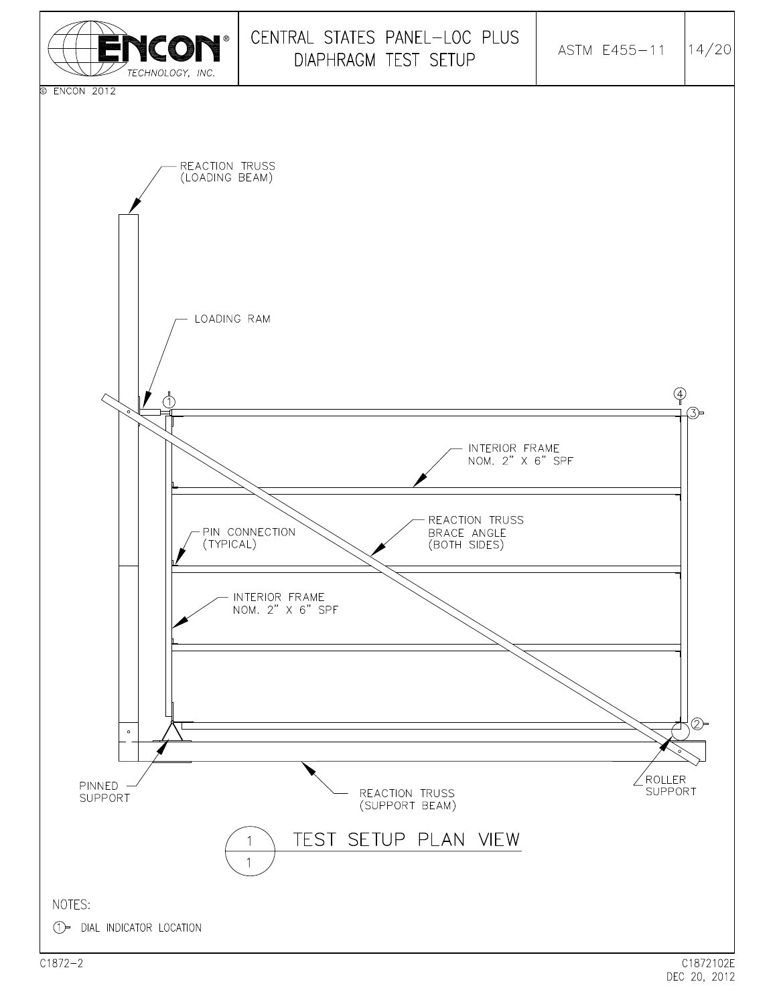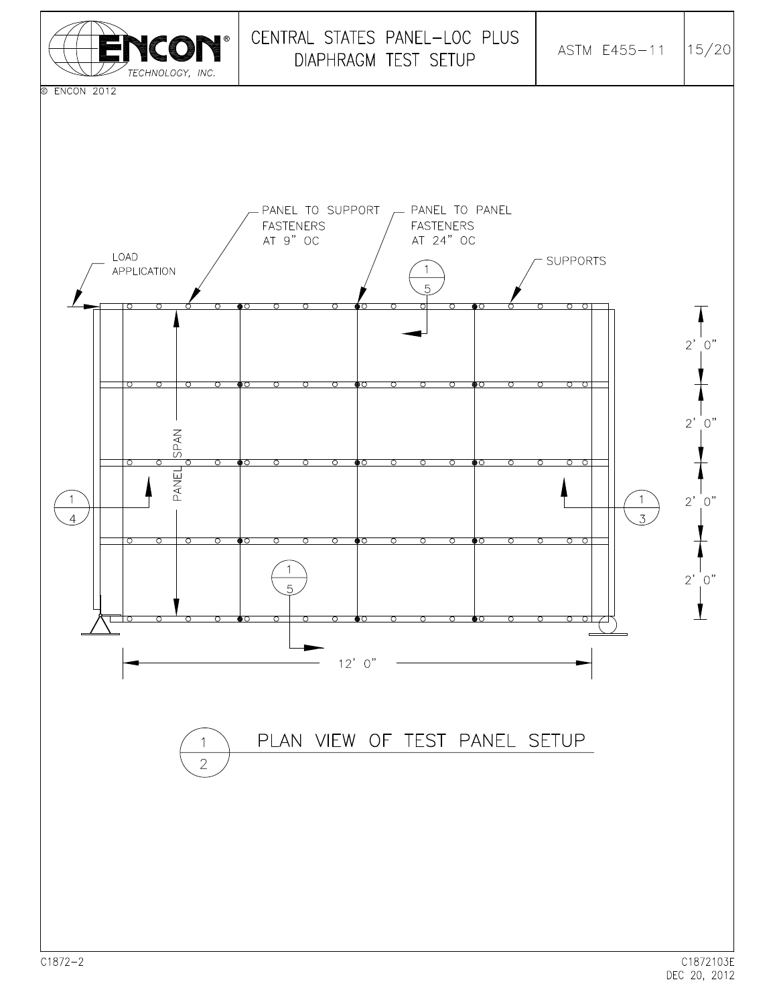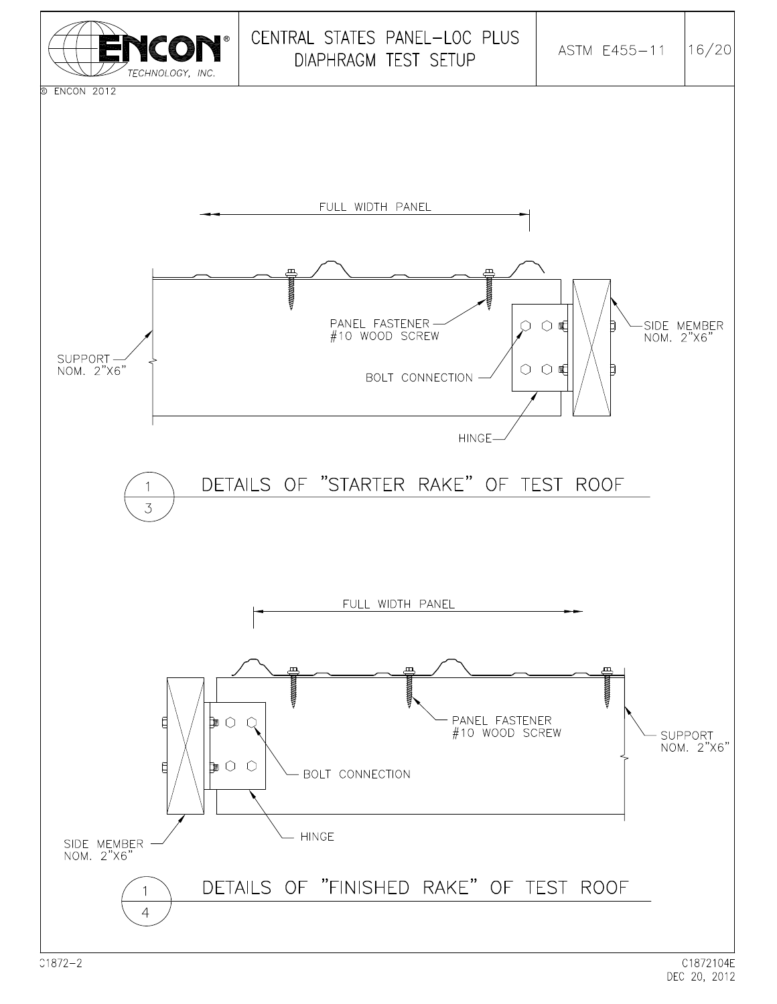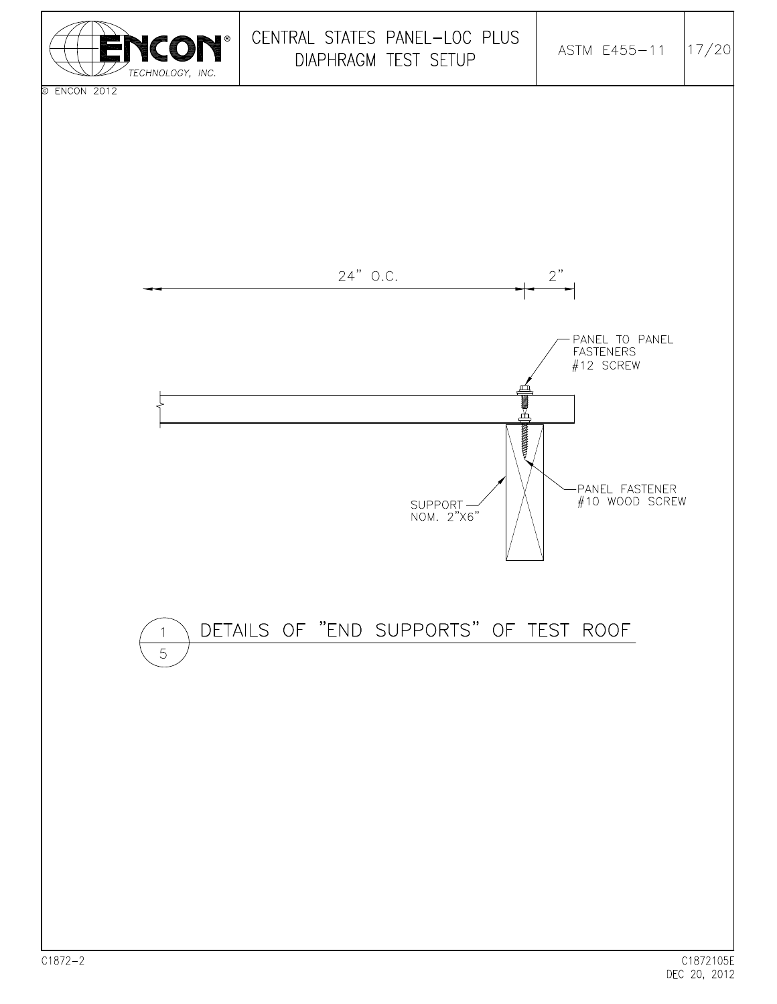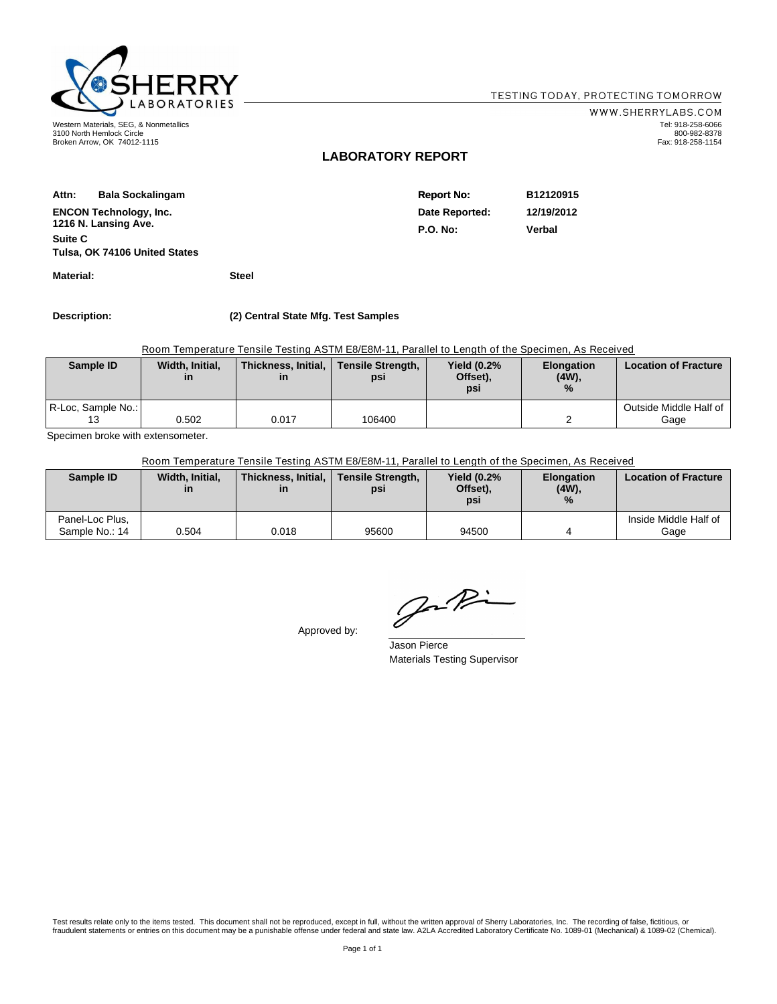

3100 North Hemlock Circle Broken Arrow, OK 74012-1115

WWW.SHERRYLABS.COM Tel: 918-258-6066 800-982-8378 Fax: 918-258-1154

#### **LABORATORY REPORT**

| Attn:   | <b>Bala Sockalingam</b>       | <b>Report No:</b> | B12120915  |
|---------|-------------------------------|-------------------|------------|
|         | <b>ENCON Technology, Inc.</b> | Date Reported:    | 12/19/2012 |
|         | 1216 N. Lansing Ave.          | <b>P.O. No:</b>   | Verbal     |
| Suite C |                               |                   |            |
|         | Tulsa, OK 74106 United States |                   |            |

**Material: Steel**

**Description: (2) Central State Mfg. Test Samples**

Room Temperature Tensile Testing ASTM E8/E8M-11, Parallel to Length of the Specimen, As Received

| Sample ID          | Width, Initial,<br>in | Thickness, Initial,<br>in | <b>Tensile Strength,</b><br>psi | <b>Yield (0.2%</b><br>Offset),<br>psi | <b>Elongation</b><br>$(4W)$ ,<br>$\%$ | <b>Location of Fracture</b>      |
|--------------------|-----------------------|---------------------------|---------------------------------|---------------------------------------|---------------------------------------|----------------------------------|
| R-Loc, Sample No.: | 0.502                 | 0.017                     | 106400                          |                                       |                                       | Outside Middle Half of I<br>Gage |

Specimen broke with extensometer.

Room Temperature Tensile Testing ASTM E8/E8M-11, Parallel to Length of the Specimen, As Received

| Sample ID                         | Width, Initial,<br>in | Thickness, Initial,<br>in | <b>Tensile Strength,</b><br>psi | <b>Yield (0.2%</b><br>Offset),<br>psi | <b>Elongation</b><br>$(4W)$ ,<br>$\frac{0}{2}$ | <b>Location of Fracture</b>   |
|-----------------------------------|-----------------------|---------------------------|---------------------------------|---------------------------------------|------------------------------------------------|-------------------------------|
| Panel-Loc Plus,<br>Sample No.: 14 | 0.504                 | 0.018                     | 95600                           | 94500                                 |                                                | Inside Middle Half of<br>Gage |

Approved by:

Jaki

Jason Pierce Materials Testing Supervisor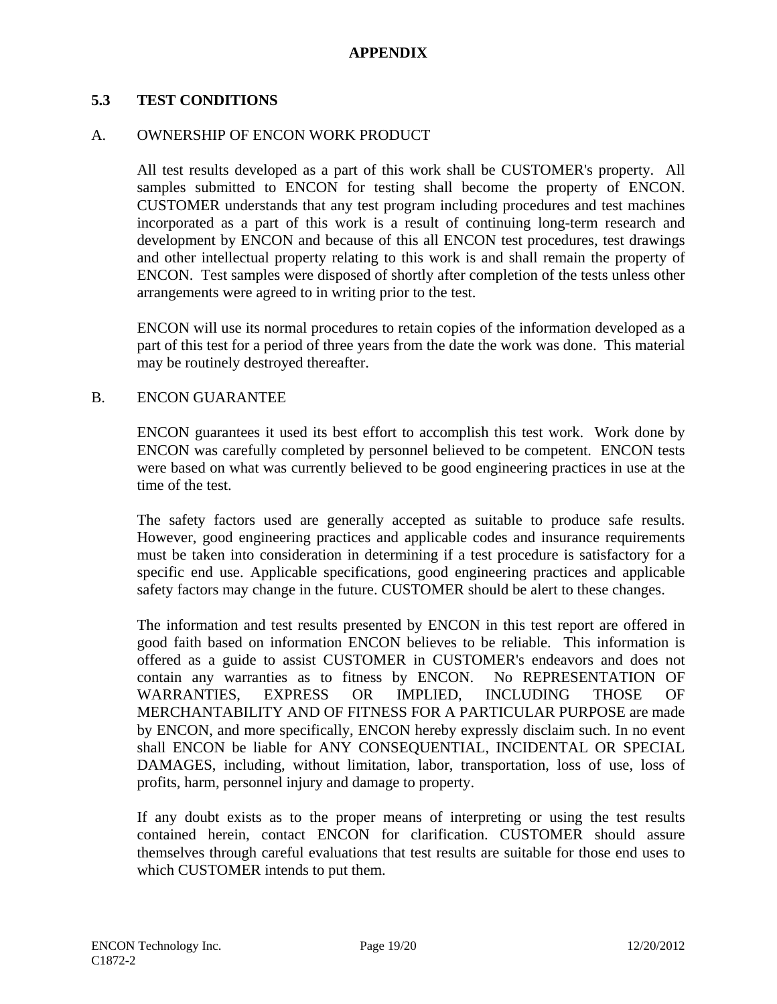### **APPENDIX**

#### **5.3 TEST CONDITIONS**

#### A. OWNERSHIP OF ENCON WORK PRODUCT

All test results developed as a part of this work shall be CUSTOMER's property. All samples submitted to ENCON for testing shall become the property of ENCON. CUSTOMER understands that any test program including procedures and test machines incorporated as a part of this work is a result of continuing long-term research and development by ENCON and because of this all ENCON test procedures, test drawings and other intellectual property relating to this work is and shall remain the property of ENCON. Test samples were disposed of shortly after completion of the tests unless other arrangements were agreed to in writing prior to the test.

ENCON will use its normal procedures to retain copies of the information developed as a part of this test for a period of three years from the date the work was done. This material may be routinely destroyed thereafter.

#### B. ENCON GUARANTEE

ENCON guarantees it used its best effort to accomplish this test work. Work done by ENCON was carefully completed by personnel believed to be competent. ENCON tests were based on what was currently believed to be good engineering practices in use at the time of the test.

The safety factors used are generally accepted as suitable to produce safe results. However, good engineering practices and applicable codes and insurance requirements must be taken into consideration in determining if a test procedure is satisfactory for a specific end use. Applicable specifications, good engineering practices and applicable safety factors may change in the future. CUSTOMER should be alert to these changes.

The information and test results presented by ENCON in this test report are offered in good faith based on information ENCON believes to be reliable. This information is offered as a guide to assist CUSTOMER in CUSTOMER's endeavors and does not contain any warranties as to fitness by ENCON. No REPRESENTATION OF WARRANTIES, EXPRESS OR IMPLIED, INCLUDING THOSE OF MERCHANTABILITY AND OF FITNESS FOR A PARTICULAR PURPOSE are made by ENCON, and more specifically, ENCON hereby expressly disclaim such. In no event shall ENCON be liable for ANY CONSEQUENTIAL, INCIDENTAL OR SPECIAL DAMAGES, including, without limitation, labor, transportation, loss of use, loss of profits, harm, personnel injury and damage to property.

If any doubt exists as to the proper means of interpreting or using the test results contained herein, contact ENCON for clarification. CUSTOMER should assure themselves through careful evaluations that test results are suitable for those end uses to which CUSTOMER intends to put them.